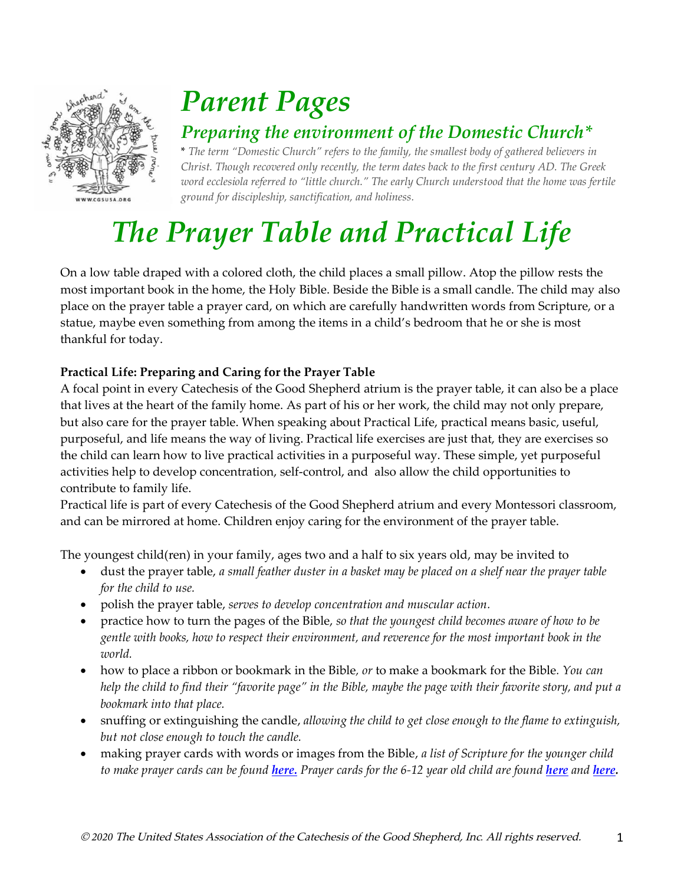

## *Parent Pages*

### *Preparing the environment of the Domestic Church\**

\* *The term "Domestic Church" refers to the family, the smallest body of gathered believers in Christ. Though recovered only recently, the term dates back to the first century AD. The Greek word ecclesiola referred to "little church." The early Church understood that the home was fertile ground for discipleship, sanctification, and holiness.*

# *The Prayer Table and Practical Life*

On a low table draped with a colored cloth, the child places a small pillow. Atop the pillow rests the most important book in the home, the Holy Bible. Beside the Bible is a small candle. The child may also place on the prayer table a prayer card, on which are carefully handwritten words from Scripture, or a statue, maybe even something from among the items in a child's bedroom that he or she is most thankful for today.

### **Practical Life: Preparing and Caring for the Prayer Table**

A focal point in every Catechesis of the Good Shepherd atrium is the prayer table, it can also be a place that lives at the heart of the family home. As part of his or her work, the child may not only prepare, but also care for the prayer table. When speaking about Practical Life, practical means basic, useful, purposeful, and life means the way of living. Practical life exercises are just that, they are exercises so the child can learn how to live practical activities in a purposeful way. These simple, yet purposeful activities help to develop concentration, self-control, and also allow the child opportunities to contribute to family life.

Practical life is part of every Catechesis of the Good Shepherd atrium and every Montessori classroom, and can be mirrored at home. Children enjoy caring for the environment of the prayer table.

The youngest child(ren) in your family, ages two and a half to six years old, may be invited to

- dust the prayer table, *a small feather duster in a basket may be placed on a shelf near the prayer table for the child to use.*
- polish the prayer table, *serves to develop concentration and muscular action.*
- practice how to turn the pages of the Bible, *so that the youngest child becomes aware of how to be gentle with books, how to respect their environment, and reverence for the most important book in the world.*
- how to place a ribbon or bookmark in the Bible*, or* to make a bookmark for the Bible*. You can help the child to find their "favorite page" in the Bible, maybe the page with their favorite story, and put a bookmark into that place.*
- snuffing or extinguishing the candle, *allowing the child to get close enough to the flame to extinguish, but not close enough to touch the candle.*
- making prayer cards with words or images from the Bible, *a list of Scripture for the younger child to make prayer cards can be found [here.](https://www.cgsusa.org/wp-content/uploads/Prayer-Cards-for-3-6-year-old-children-covid-19.pdf) Prayer cards for the 6-12 year old child are found [here](https://www.cgsusa.org/wp-content/uploads/Prayer-Cards-for-the-6-9-year-old-child-covid-19.pdf) and [here.](https://www.cgsusa.org/wp-content/uploads/Prayer-Cards-for-the-9-12-year-old-child-covid-19.pdf)*